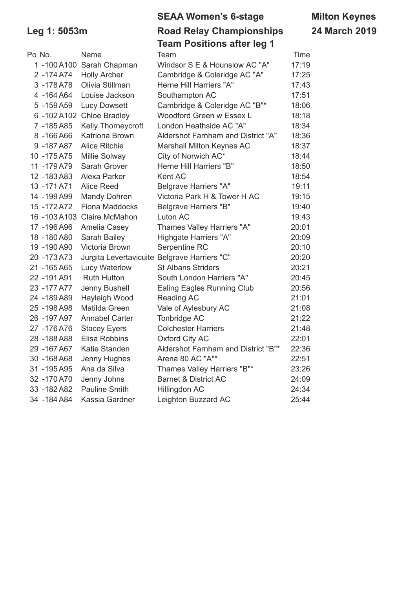|              |                           | <b>SEAA Women's 6-stage</b>       | <b>Milton Keynes</b> |  |  |
|--------------|---------------------------|-----------------------------------|----------------------|--|--|
| Leg 1: 5053m |                           | <b>Road Relay Championships</b>   | <b>24 March 2019</b> |  |  |
|              |                           | <b>Team Positions after leg 1</b> |                      |  |  |
| Po No.       | <b>Name</b>               | Team                              | Time                 |  |  |
|              | 1 -100 A100 Sarah Chapman | Windsor S E & Hounslow AC "A"     | 17:19                |  |  |

| Po No.       | Name                                         | Team                                | Time  |
|--------------|----------------------------------------------|-------------------------------------|-------|
|              | 1 -100 A100 Sarah Chapman                    | Windsor S E & Hounslow AC "A"       | 17:19 |
| 2-174 A74    | <b>Holly Archer</b>                          | Cambridge & Coleridge AC "A"        | 17:25 |
| 3-178A78     | Olivia Stillman                              | Herne Hill Harriers "A"             | 17:43 |
| 4 -164 A64   | Louise Jackson                               | Southampton AC                      | 17:51 |
| 5-159A59     | <b>Lucy Dowsett</b>                          | Cambridge & Coleridge AC "B"*       | 18:06 |
|              | 6 -102 A102 Chloe Bradley                    | Woodford Green w Essex L            | 18:18 |
| 7 -185A85    | Kelly Thorneycroft                           | London Heathside AC "A"             | 18:34 |
| 8-166A66     | Katriona Brown                               | Aldershot Farnham and District "A"  | 18:36 |
| 9-187A87     | <b>Alice Ritchie</b>                         | Marshall Milton Keynes AC           | 18:37 |
| 10 - 175 A75 | Millie Solway                                | City of Norwich AC*                 | 18:44 |
| 11 - 179 A79 | Sarah Grover                                 | Herne Hill Harriers "B"             | 18:50 |
| 12 - 183 A83 | Alexa Parker                                 | Kent AC                             | 18:54 |
| 13 - 171 A71 | <b>Alice Reed</b>                            | <b>Belgrave Harriers "A"</b>        | 19:11 |
| 14 -199 A99  | <b>Mandy Dohren</b>                          | Victoria Park H & Tower H AC        | 19:15 |
| 15 - 172 A72 | Fiona Maddocks                               | <b>Belgrave Harriers "B"</b>        | 19:40 |
| 16 -103 A103 | <b>Claire McMahon</b>                        | Luton AC                            | 19:43 |
| 17 - 196 A96 | Amelia Casey                                 | Thames Valley Harriers "A"          | 20:01 |
| 18 - 180 A80 | Sarah Bailey                                 | Highgate Harriers "A"               | 20:09 |
| 19 -190 A90  | Victoria Brown                               | Serpentine RC                       | 20:10 |
| 20 - 173 A73 | Jurgita Levertavicuite Belgrave Harriers "C" |                                     | 20:20 |
| 21 - 165 A65 | Lucy Waterlow                                | <b>St Albans Striders</b>           | 20:21 |
| 22 - 191 A91 | <b>Ruth Hutton</b>                           | South London Harriers "A"           | 20:45 |
| 23 - 177 A77 | Jenny Bushell                                | <b>Ealing Eagles Running Club</b>   | 20:56 |
| 24 - 189 A89 | Hayleigh Wood                                | Reading AC                          | 21:01 |
| 25 - 198 A98 | Matilda Green                                | Vale of Aylesbury AC                | 21:08 |
| 26 - 197 A97 | <b>Annabel Carter</b>                        | Tonbridge AC                        | 21:22 |
| 27 - 176 A76 | <b>Stacey Eyers</b>                          | <b>Colchester Harriers</b>          | 21:48 |
| 28 - 188 A88 | Elisa Robbins                                | <b>Oxford City AC</b>               | 22:01 |
| 29 -167 A67  | Katie Standen                                | Aldershot Farnham and District "B"* | 22:36 |
| 30 - 168 A68 | Jenny Hughes                                 | Arena 80 AC "A"*                    | 22:51 |
| 31 - 195 A95 | Ana da Silva                                 | Thames Valley Harriers "B"*         | 23:26 |
| 32 - 170 A70 | Jenny Johns                                  | <b>Barnet &amp; District AC</b>     | 24:09 |
| 33 - 182 A82 | <b>Pauline Smith</b>                         | Hillingdon AC                       | 24:34 |
| 34 - 184 A84 | Kassia Gardner                               | Leighton Buzzard AC                 | 25:44 |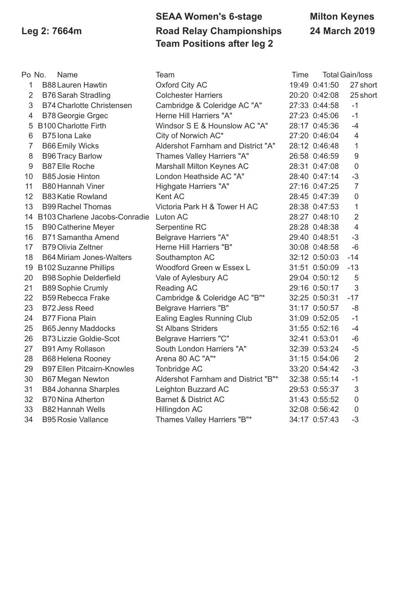## **SEAA Women's 6-stage Milton Keynes Leg 2: 7664m Road Relay Championships 24 March 2019 Team Positions after leg 2**

| Po No.         | Name                                   | Team                                | Time |               | <b>Total Gain/loss</b> |
|----------------|----------------------------------------|-------------------------------------|------|---------------|------------------------|
| $\mathbf{1}$   | <b>B88 Lauren Hawtin</b>               | <b>Oxford City AC</b>               |      | 19:49 0:41:50 | 27 short               |
| $\overline{2}$ | <b>B76 Sarah Stradling</b>             | <b>Colchester Harriers</b>          |      | 20:20 0:42:08 | 25 short               |
| 3              | <b>B74 Charlotte Christensen</b>       | Cambridge & Coleridge AC "A"        |      | 27:33 0:44:58 | $-1$                   |
| 4              | <b>B78 Georgie Grgec</b>               | Herne Hill Harriers "A"             |      | 27:23 0:45:06 | $-1$                   |
| 5              | <b>B100 Charlotte Firth</b>            | Windsor S E & Hounslow AC "A"       |      | 28:17 0:45:36 | $-4$                   |
| 6              | B75 Iona Lake                          | City of Norwich AC*                 |      | 27:20 0:46:04 | $\overline{4}$         |
| $\overline{7}$ | <b>B66 Emily Wicks</b>                 | Aldershot Farnham and District "A"  |      | 28:12 0:46:48 | 1                      |
| 8              | <b>B96 Tracy Barlow</b>                | Thames Valley Harriers "A"          |      | 26:58 0:46:59 | $9$                    |
| 9              | <b>B87 Elle Roche</b>                  | Marshall Milton Keynes AC           |      | 28:31 0:47:08 | $\mathbf 0$            |
| 10             | <b>B85 Josie Hinton</b>                | London Heathside AC "A"             |      | 28:40 0:47:14 | $-3$                   |
| 11             | <b>B80 Hannah Viner</b>                | Highgate Harriers "A"               |      | 27:16 0:47:25 | $\overline{7}$         |
| 12             | <b>B83 Katie Rowland</b>               | Kent AC                             |      | 28:45 0:47:39 | $\mathbf 0$            |
| 13             | <b>B99 Rachel Thomas</b>               | Victoria Park H & Tower H AC        |      | 28:38 0:47:53 | 1                      |
| 14             | B103 Charlene Jacobs-Conradie Luton AC |                                     |      | 28:27 0:48:10 | $\overline{2}$         |
| 15             | <b>B90 Catherine Meyer</b>             | Serpentine RC                       |      | 28:28 0:48:38 | $\overline{4}$         |
| 16             | <b>B71 Samantha Amend</b>              | <b>Belgrave Harriers "A"</b>        |      | 29:40 0:48:51 | $-3$                   |
| 17             | <b>B79 Olivia Zeltner</b>              | Herne Hill Harriers "B"             |      | 30:08 0:48:58 | $-6$                   |
| 18             | <b>B64 Miriam Jones-Walters</b>        | Southampton AC                      |      | 32:12 0:50:03 | $-14$                  |
|                | 19 B102 Suzanne Phillips               | Woodford Green w Essex L            |      | 31:51 0:50:09 | $-13$                  |
| 20             | <b>B98 Sophie Delderfield</b>          | Vale of Aylesbury AC                |      | 29:04 0:50:12 | 5                      |
| 21             | <b>B89 Sophie Crumly</b>               | Reading AC                          |      | 29:16 0:50:17 | $\mathfrak{S}$         |
| 22             | <b>B59 Rebecca Frake</b>               | Cambridge & Coleridge AC "B"*       |      | 32:25 0:50:31 | $-17$                  |
| 23             | <b>B72 Jess Reed</b>                   | <b>Belgrave Harriers "B"</b>        |      | 31:17 0:50:57 | $-8$                   |
| 24             | <b>B77 Fiona Plain</b>                 | Ealing Eagles Running Club          |      | 31:09 0:52:05 | $-1$                   |
| 25             | <b>B65 Jenny Maddocks</b>              | <b>St Albans Striders</b>           |      | 31:55 0:52:16 | $-4$                   |
| 26             | <b>B73 Lizzie Goldie-Scot</b>          | <b>Belgrave Harriers "C"</b>        |      | 32:41 0:53:01 | $-6$                   |
| 27             | B91 Amy Rollason                       | South London Harriers "A"           |      | 32:39 0:53:24 | $-5$                   |
| 28             | <b>B68 Helena Rooney</b>               | Arena 80 AC "A"*                    |      | 31:15 0:54:06 | $\overline{2}$         |
| 29             | <b>B97 Ellen Pitcairn-Knowles</b>      | Tonbridge AC                        |      | 33:20 0:54:42 | $-3$                   |
| 30             | <b>B67 Megan Newton</b>                | Aldershot Farnham and District "B"* |      | 32:38 0:55:14 | $-1$                   |
| 31             | <b>B84 Johanna Sharples</b>            | Leighton Buzzard AC                 |      | 29:53 0:55:37 | $\mathfrak{S}$         |
| 32             | <b>B70 Nina Atherton</b>               | <b>Barnet &amp; District AC</b>     |      | 31:43 0:55:52 | $\mathbf 0$            |
| 33             | <b>B82 Hannah Wells</b>                | Hillingdon AC                       |      | 32:08 0:56:42 | $\mathbf 0$            |
| 34             | <b>B95 Rosie Vallance</b>              | Thames Valley Harriers "B"*         |      | 34:17 0:57:43 | $-3$                   |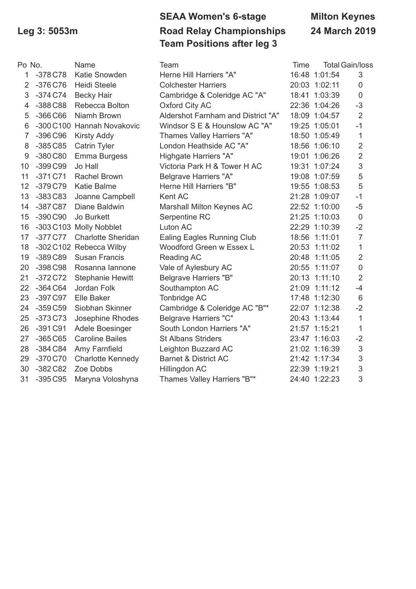# **SEAA Women's 6-stage Milton Keynes Leg 3: 5053m Road Relay Championships 24 March 2019 Team Positions after leg 3**

| Po No.         |           | Name                       | Team                               | Time |               | <b>Total Gain/loss</b> |
|----------------|-----------|----------------------------|------------------------------------|------|---------------|------------------------|
| 1              | $-378C78$ | Katie Snowden              | Herne Hill Harriers "A"            |      | 16:48 1:01:54 | 3                      |
| $\overline{2}$ | $-376C76$ | <b>Heidi Steele</b>        | <b>Colchester Harriers</b>         |      | 20:03 1:02:11 | $\boldsymbol{0}$       |
| 3              | $-374C74$ | <b>Becky Hair</b>          | Cambridge & Coleridge AC "A"       |      | 18:41 1:03:39 | $\mathbf 0$            |
| 4              | $-388C88$ | Rebecca Bolton             | <b>Oxford City AC</b>              |      | 22:36 1:04:26 | $-3$                   |
| 5              | $-366C66$ | Niamh Brown                | Aldershot Farnham and District "A" |      | 18:09 1:04:57 | $\overline{2}$         |
| 6              |           | -300 C100 Hannah Novakovic | Windsor S E & Hounslow AC "A"      |      | 19:25 1:05:01 | $-1$                   |
| $\overline{7}$ | $-396C96$ | <b>Kirsty Addy</b>         | Thames Valley Harriers "A"         |      | 18:50 1:05:49 | $\mathbf{1}$           |
| 8              | $-385C85$ | <b>Catrin Tyler</b>        | London Heathside AC "A"            |      | 18:56 1:06:10 | $\overline{2}$         |
| 9              | $-380C80$ | Emma Burgess               | Highgate Harriers "A"              |      | 19:01 1:06:26 | $\overline{2}$         |
| 10             | $-399C99$ | Jo Hall                    | Victoria Park H & Tower H AC       |      | 19:31 1:07:24 | 3                      |
| 11             | $-371C71$ | <b>Rachel Brown</b>        | <b>Belgrave Harriers "A"</b>       |      | 19:08 1:07:59 | 5                      |
| 12             | $-379C79$ | <b>Katie Balme</b>         | Herne Hill Harriers "B"            |      | 19:55 1:08:53 | 5                      |
| 13             | $-383C83$ | Joanne Campbell            | Kent AC                            |      | 21:28 1:09:07 | $-1$                   |
| 14             | $-387C87$ | Diane Baldwin              | Marshall Milton Keynes AC          |      | 22:52 1:10:00 | $-5$                   |
| 15             | $-390C90$ | Jo Burkett                 | Serpentine RC                      |      | 21:25 1:10:03 | $\overline{0}$         |
| 16             |           | -303 C103 Molly Nobblet    | Luton AC                           |      | 22:29 1:10:39 | $-2$                   |
| 17             | -377 C77  | <b>Charlotte Sheridan</b>  | Ealing Eagles Running Club         |      | 18:56 1:11:01 | $\overline{7}$         |
| 18             |           | -302 C102 Rebecca Wilby    | Woodford Green w Essex L           |      | 20:53 1:11:02 | $\mathbf{1}$           |
| 19             | $-389C89$ | <b>Susan Francis</b>       | Reading AC                         |      | 20:48 1:11:05 | $\overline{2}$         |
| 20             | $-398C98$ | Rosanna lannone            | Vale of Aylesbury AC               |      | 20:55 1:11:07 | $\mathbf 0$            |
| 21             | $-372C72$ | <b>Stephanie Hewitt</b>    | <b>Belgrave Harriers "B"</b>       |      | 20:13 1:11:10 | $\overline{2}$         |
| 22             | $-364C64$ | Jordan Folk                | Southampton AC                     |      | 21:09 1:11:12 | $-4$                   |
| 23             | $-397C97$ | Elle Baker                 | Tonbridge AC                       |      | 17:48 1:12:30 | $6\phantom{1}$         |
| 24             | $-359C59$ | Siobhan Skinner            | Cambridge & Coleridge AC "B"*      |      | 22:07 1:12:38 | $-2$                   |
| 25             | $-373C73$ | Josephine Rhodes           | <b>Belgrave Harriers "C"</b>       |      | 20:43 1:13:44 | $\mathbf{1}$           |
| 26             | $-391C91$ | Adele Boesinger            | South London Harriers "A"          |      | 21:57 1:15:21 | 1                      |
| 27             | $-365C65$ | <b>Caroline Bailes</b>     | <b>St Albans Striders</b>          |      | 23:47 1:16:03 | $-2$                   |
| 28             | $-384C84$ | Amy Farnfield              | Leighton Buzzard AC                |      | 21:02 1:16:39 | 3                      |
| 29             | $-370C70$ | <b>Charlotte Kennedy</b>   | <b>Barnet &amp; District AC</b>    |      | 21:42 1:17:34 | 3                      |
| 30             | $-382C82$ | Zoe Dobbs                  | Hillingdon AC                      |      | 22:39 1:19:21 | 3                      |
| 31             | $-395C95$ | Maryna Voloshyna           | Thames Valley Harriers "B"*        |      | 24:40 1:22:23 | 3                      |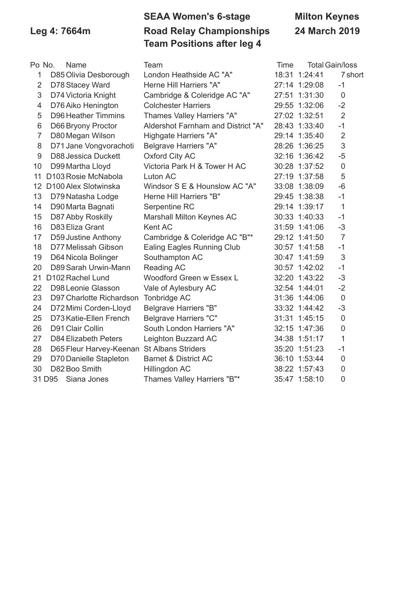## **SEAA Women's 6-stage Milton Keynes Leg 4: 7664m Road Relay Championships 24 March 2019 Team Positions after leg 4**

| Po No.         | Name                         | Team                               | <b>Time</b> |               | <b>Total Gain/loss</b> |
|----------------|------------------------------|------------------------------------|-------------|---------------|------------------------|
| 1              | D85 Olivia Desborough        | London Heathside AC "A"            |             | 18:31 1:24:41 | 7 short                |
| $\overline{2}$ | D78 Stacey Ward              | Herne Hill Harriers "A"            |             | 27:14 1:29:08 | $-1$                   |
| 3              | D74 Victoria Knight          | Cambridge & Coleridge AC "A"       |             | 27:51 1:31:30 | $\mathbf 0$            |
| $\overline{4}$ | D76 Aiko Henington           | <b>Colchester Harriers</b>         |             | 29:55 1:32:06 | $-2$                   |
| 5              | <b>D96 Heather Timmins</b>   | Thames Valley Harriers "A"         |             | 27:02 1:32:51 | $\overline{2}$         |
| 6              | D66 Bryony Proctor           | Aldershot Farnham and District "A" |             | 28:43 1:33:40 | $-1$                   |
| $\overline{7}$ | D80 Megan Wilson             | Highgate Harriers "A"              |             | 29:14 1:35:40 | $\overline{2}$         |
| 8              | D71 Jane Vongvorachoti       | <b>Belgrave Harriers "A"</b>       |             | 28:26 1:36:25 | $\mathfrak{S}$         |
| 9              | <b>D88 Jessica Duckett</b>   | Oxford City AC                     |             | 32:16 1:36:42 | $-5$                   |
| 10             | D99 Martha Lloyd             | Victoria Park H & Tower H AC       |             | 30:28 1:37:52 | $\mathbf 0$            |
| 11             | D103 Rosie McNabola          | Luton AC                           |             | 27:19 1:37:58 | 5                      |
| 12             | D100 Alex Slotwinska         | Windsor S E & Hounslow AC "A"      |             | 33:08 1:38:09 | $-6$                   |
| 13             | D79 Natasha Lodge            | Herne Hill Harriers "B"            |             | 29:45 1:38:38 | $-1$                   |
| 14             | D90 Marta Bagnati            | Serpentine RC                      |             | 29:14 1:39:17 | $\mathbf{1}$           |
| 15             | D87 Abby Roskilly            | Marshall Milton Keynes AC          |             | 30:33 1:40:33 | $-1$                   |
| 16             | D83 Eliza Grant              | Kent AC                            |             | 31:59 1:41:06 | $-3$                   |
| 17             | D59 Justine Anthony          | Cambridge & Coleridge AC "B"*      |             | 29:12 1:41:50 | $\overline{7}$         |
| 18             | D77 Melissah Gibson          | <b>Ealing Eagles Running Club</b>  |             | 30:57 1:41:58 | $-1$                   |
| 19             | D64 Nicola Bolinger          | Southampton AC                     |             | 30:47 1:41:59 | $\mathfrak{S}$         |
| 20             | D89 Sarah Urwin-Mann         | Reading AC                         |             | 30:57 1:42:02 | $-1$                   |
| 21             | D <sub>102</sub> Rachel Lund | Woodford Green w Essex L           |             | 32:20 1:43:22 | $-3$                   |
| 22             | D98 Leonie Glasson           | Vale of Aylesbury AC               |             | 32:54 1:44:01 | $-2$                   |
| 23             | D97 Charlotte Richardson     | Tonbridge AC                       |             | 31:36 1:44:06 | $\mathbf 0$            |
| 24             | D72 Mimi Corden-Lloyd        | <b>Belgrave Harriers "B"</b>       |             | 33:32 1:44:42 | $-3$                   |
| 25             | D73 Katie-Ellen French       | <b>Belgrave Harriers "C"</b>       |             | 31:31 1:45:15 | $\mathbf 0$            |
| 26             | D91 Clair Collin             | South London Harriers "A"          |             | 32:15 1:47:36 | $\mathsf{O}\xspace$    |
| 27             | <b>D84 Elizabeth Peters</b>  | Leighton Buzzard AC                |             | 34:38 1:51:17 | 1                      |
| 28             | D65 Fleur Harvey-Keenan      | <b>St Albans Striders</b>          |             | 35:20 1:51:23 | $-1$                   |
| 29             | D70 Danielle Stapleton       | <b>Barnet &amp; District AC</b>    |             | 36:10 1:53:44 | $\mathbf 0$            |
| 30             | D82 Boo Smith                | Hillingdon AC                      |             | 38:22 1:57:43 | $\mathbf 0$            |
|                | 31 D95<br>Siana Jones        | Thames Valley Harriers "B"*        |             | 35:47 1:58:10 | $\mathbf 0$            |
|                |                              |                                    |             |               |                        |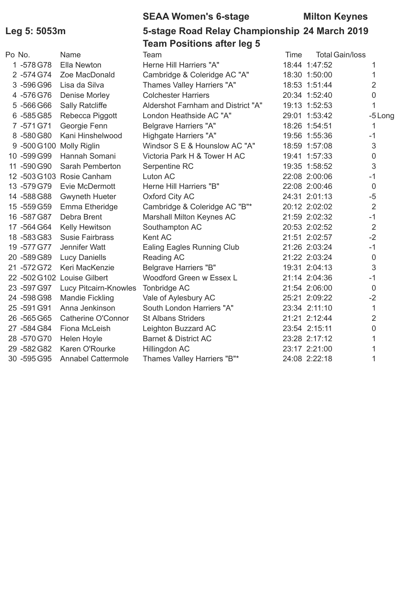## **SEAA Women's 6-stage Milton Keynes**

## **Leg 5: 5053m 5-stage Road Relay Championship 24 March 2019 Team Positions after leg 5**

| Po No. |              | Name                        | Team                               | Time | <b>Total Gain/loss</b> |                |
|--------|--------------|-----------------------------|------------------------------------|------|------------------------|----------------|
|        | 1-578 G78    | Ella Newton                 | Herne Hill Harriers "A"            |      | 18:44 1:47:52          | 1              |
|        | 2 -574 G74   | Zoe MacDonald               | Cambridge & Coleridge AC "A"       |      | 18:30 1:50:00          | 1              |
|        | 3 -596 G96   | Lisa da Silva               | Thames Valley Harriers "A"         |      | 18:53 1:51:44          | $\overline{2}$ |
|        | 4 -576 G76   | Denise Morley               | <b>Colchester Harriers</b>         |      | 20:34 1:52:40          | 0              |
|        | 5 -566 G66   | <b>Sally Ratcliffe</b>      | Aldershot Farnham and District "A" |      | 19:13 1:52:53          | 1              |
|        | 6 -585 G85   | Rebecca Piggott             | London Heathside AC "A"            |      | 29:01 1:53:42          | -5 Long        |
|        | 7 -571 G71   | Georgie Fenn                | <b>Belgrave Harriers "A"</b>       |      | 18:26 1:54:51          | 1              |
|        | 8-580 G80    | Kani Hinshelwood            | Highgate Harriers "A"              |      | 19:56 1:55:36          | $-1$           |
|        |              | 9 -500 G100 Molly Riglin    | Windsor S E & Hounslow AC "A"      |      | 18:59 1:57:08          | 3              |
|        | 10 -599 G99  | Hannah Somani               | Victoria Park H & Tower H AC       |      | 19:41 1:57:33          | 0              |
|        | 11 -590 G90  | Sarah Pemberton             | Serpentine RC                      |      | 19:35 1:58:52          | 3              |
|        |              | 12 -503 G103 Rosie Canham   | Luton AC                           |      | 22:08 2:00:06          | $-1$           |
|        | 13-579 G79   | Evie McDermott              | Herne Hill Harriers "B"            |      | 22:08 2:00:46          | 0              |
|        | 14 -588 G88  | <b>Gwyneth Hueter</b>       | Oxford City AC                     |      | 24:31 2:01:13          | $-5$           |
|        | 15 - 559 G59 | Emma Etheridge              | Cambridge & Coleridge AC "B"*      |      | 20:12 2:02:02          | 2              |
|        | 16 -587 G87  | Debra Brent                 | Marshall Milton Keynes AC          |      | 21:59 2:02:32          | $-1$           |
|        | 17 - 564 G64 | Kelly Hewitson              | Southampton AC                     |      | 20:53 2:02:52          | $\overline{2}$ |
|        | 18 - 583 G83 | <b>Susie Fairbrass</b>      | Kent AC                            |      | 21:51 2:02:57          | $-2$           |
|        | 19 - 577 G77 | Jennifer Watt               | <b>Ealing Eagles Running Club</b>  |      | 21:26 2:03:24          | $-1$           |
|        | 20 -589 G89  | <b>Lucy Daniells</b>        | Reading AC                         |      | 21:22 2:03:24          | $\mathbf 0$    |
|        | 21 - 572 G72 | Keri MacKenzie              | <b>Belgrave Harriers "B"</b>       |      | 19:31 2:04:13          | 3              |
|        |              | 22 -502 G102 Louise Gilbert | Woodford Green w Essex L           |      | 21:14 2:04:36          | $-1$           |
|        | 23 - 597 G97 | Lucy Pitcairn-Knowles       | Tonbridge AC                       |      | 21:54 2:06:00          | $\mathbf 0$    |
|        | 24 -598 G98  | <b>Mandie Fickling</b>      | Vale of Aylesbury AC               |      | 25:21 2:09:22          | $-2$           |
|        | 25 - 591 G91 | Anna Jenkinson              | South London Harriers "A"          |      | 23:34 2:11:10          | 1              |
|        | 26 -565 G65  | Catherine O'Connor          | <b>St Albans Striders</b>          |      | 21:21 2:12:44          | $\overline{2}$ |
|        | 27 - 584 G84 | Fiona McLeish               | Leighton Buzzard AC                |      | 23:54 2:15:11          | $\overline{0}$ |
|        | 28 -570 G70  | Helen Hoyle                 | <b>Barnet &amp; District AC</b>    |      | 23:28 2:17:12          | 1              |
|        | 29 - 582 G82 | Karen O'Rourke              | Hillingdon AC                      |      | 23:17 2:21:00          |                |
|        | 30 -595 G95  | <b>Annabel Cattermole</b>   | Thames Valley Harriers "B"*        |      | 24:08 2:22:18          | 1              |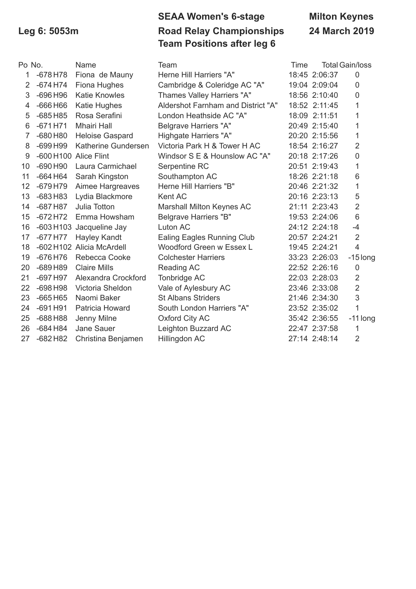# **SEAA Women's 6-stage Milton Keynes Leg 6: 5053m Road Relay Championships 24 March 2019 Team Positions after leg 6**

| Po No.         |                       | Name                      | Team                               | Time |               | <b>Total Gain/loss</b> |
|----------------|-----------------------|---------------------------|------------------------------------|------|---------------|------------------------|
| 1              | $-678$ H78            | Fiona de Mauny            | Herne Hill Harriers "A"            |      | 18:45 2:06:37 | $\mathbf 0$            |
| $\overline{2}$ | $-674$ H74            | Fiona Hughes              | Cambridge & Coleridge AC "A"       |      | 19:04 2:09:04 | 0                      |
| 3              | $-696$ H96            | <b>Katie Knowles</b>      | Thames Valley Harriers "A"         |      | 18:56 2:10:40 | 0                      |
| 4              | $-666H66$             | Katie Hughes              | Aldershot Farnham and District "A" |      | 18:52 2:11:45 | 1                      |
| 5              | $-685H85$             | Rosa Serafini             | London Heathside AC "A"            |      | 18:09 2:11:51 | 1                      |
| 6              | $-671$ H71            | <b>Mhairi Hall</b>        | <b>Belgrave Harriers "A"</b>       |      | 20:49 2:15:40 | 1                      |
| $\overline{7}$ | $-680$ H80            | <b>Heloise Gaspard</b>    | Highgate Harriers "A"              |      | 20:20 2:15:56 | 1                      |
| 8              | $-699$ H99            | Katherine Gundersen       | Victoria Park H & Tower H AC       |      | 18:54 2:16:27 | $\overline{2}$         |
| 9              | -600 H100 Alice Flint |                           | Windsor S E & Hounslow AC "A"      |      | 20:18 2:17:26 | 0                      |
| 10             | $-690$ H90            | Laura Carmichael          | Serpentine RC                      |      | 20:51 2:19:43 | 1                      |
| 11             | $-664H64$             | Sarah Kingston            | Southampton AC                     |      | 18:26 2:21:18 | 6                      |
| 12             | $-679$ H79            | Aimee Hargreaves          | Herne Hill Harriers "B"            |      | 20:46 2:21:32 | 1                      |
| 13             | $-683H83$             | Lydia Blackmore           | Kent AC                            |      | 20:16 2:23:13 | 5                      |
| 14             | $-687$ H87            | Julia Totton              | Marshall Milton Keynes AC          |      | 21:11 2:23:43 | $\overline{2}$         |
| 15             | $-672$ H72            | Emma Howsham              | <b>Belgrave Harriers "B"</b>       |      | 19:53 2:24:06 | 6                      |
| 16             |                       | -603 H103 Jacqueline Jay  | Luton AC                           |      | 24:12 2:24:18 | $-4$                   |
| 17             | $-677$ H77            | Hayley Kandt              | Ealing Eagles Running Club         |      | 20:57 2:24:21 | $\overline{2}$         |
| 18             |                       | -602 H102 Alicia McArdell | Woodford Green w Essex L           |      | 19:45 2:24:21 | $\overline{4}$         |
| 19             | $-676$ H76            | Rebecca Cooke             | <b>Colchester Harriers</b>         |      | 33:23 2:26:03 | $-15$ long             |
| 20             | $-689H89$             | <b>Claire Mills</b>       | Reading AC                         |      | 22:52 2:26:16 | $\mathbf 0$            |
| 21             | $-697$ H97            | Alexandra Crockford       | Tonbridge AC                       |      | 22:03 2:28:03 | $\overline{2}$         |
| 22             | $-698$ H98            | Victoria Sheldon          | Vale of Aylesbury AC               |      | 23:46 2:33:08 | $\overline{2}$         |
| 23             | $-665H65$             | Naomi Baker               | <b>St Albans Striders</b>          |      | 21:46 2:34:30 | 3                      |
| 24             | $-691H91$             | Patricia Howard           | South London Harriers "A"          |      | 23:52 2:35:02 | $\overline{1}$         |
| 25             | $-688$ H88            | Jenny Milne               | Oxford City AC                     |      | 35:42 2:36:55 | $-11$ long             |
| 26             | $-684$ H84            | Jane Sauer                | Leighton Buzzard AC                |      | 22:47 2:37:58 | 1                      |
| 27             | $-682$ H82            | Christina Benjamen        | Hillingdon AC                      |      | 27:14 2:48:14 | $\overline{2}$         |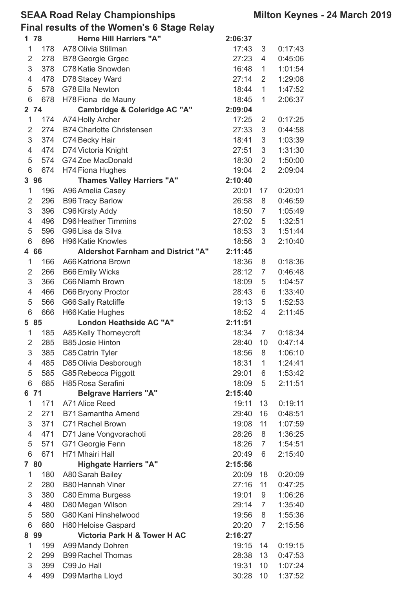### **SEAA Road Relay Championships Milton Keynes - 24 March 2019**

**Final results of the Women's 6 Stage Relay**

| 1 78           |     | <b>Herne Hill Harriers "A"</b>            | 2:06:37 |                |         |
|----------------|-----|-------------------------------------------|---------|----------------|---------|
| $\mathbf{1}$   | 178 | A78 Olivia Stillman                       | 17:43   | 3              | 0:17:43 |
| $\overline{2}$ | 278 | <b>B78 Georgie Grgec</b>                  | 27:23   | 4              | 0:45:06 |
| 3              | 378 | C78 Katie Snowden                         | 16:48   | 1              | 1:01:54 |
| 4              | 478 | D78 Stacey Ward                           | 27:14   | $\overline{2}$ | 1:29:08 |
| 5              | 578 | G78 Ella Newton                           | 18:44   | $\mathbf{1}$   | 1:47:52 |
| 6              | 678 | H78 Fiona de Mauny                        | 18:45   | 1              | 2:06:37 |
| 2 74           |     | Cambridge & Coleridge AC "A"              | 2:09:04 |                |         |
| $\mathbf 1$    | 174 | A74 Holly Archer                          | 17:25   | $\overline{2}$ | 0:17:25 |
| $\overline{2}$ | 274 | <b>B74 Charlotte Christensen</b>          | 27:33   | 3              | 0:44:58 |
| 3              | 374 | C74 Becky Hair                            | 18:41   | 3              | 1:03:39 |
| 4              | 474 | D74 Victoria Knight                       | 27:51   | 3              | 1:31:30 |
| 5              | 574 | G74 Zoe MacDonald                         | 18:30   | $\overline{2}$ | 1:50:00 |
| 6              | 674 | <b>H74 Fiona Hughes</b>                   | 19:04   | $\overline{2}$ | 2:09:04 |
| 3 96           |     | <b>Thames Valley Harriers "A"</b>         | 2:10:40 |                |         |
| 1              | 196 | A96 Amelia Casey                          | 20:01   | 17             | 0:20:01 |
| 2              | 296 | <b>B96 Tracy Barlow</b>                   | 26:58   | 8              | 0:46:59 |
| 3              | 396 | C96 Kirsty Addy                           | 18:50   | 7              | 1:05:49 |
| 4              | 496 | <b>D96 Heather Timmins</b>                | 27:02   | 5              | 1:32:51 |
| 5              | 596 | G96 Lisa da Silva                         | 18:53   | 3              | 1:51:44 |
| 6              | 696 | <b>H96 Katie Knowles</b>                  | 18:56   | 3              | 2:10:40 |
| 4 66           |     | <b>Aldershot Farnham and District "A"</b> | 2:11:45 |                |         |
| $\mathbf 1$    | 166 | A66 Katriona Brown                        | 18:36   | 8              | 0:18:36 |
| 2              | 266 | <b>B66 Emily Wicks</b>                    | 28:12   | 7              | 0:46:48 |
| 3              | 366 | C66 Niamh Brown                           | 18:09   | 5              | 1:04:57 |
| 4              | 466 | D66 Bryony Proctor                        | 28:43   | 6              | 1:33:40 |
| 5              | 566 | <b>G66 Sally Ratcliffe</b>                | 19:13   | 5              | 1:52:53 |
| 6              | 666 | H66 Katie Hughes                          | 18:52   | 4              | 2:11:45 |
| 5 85           |     | London Heathside AC "A"                   | 2:11:51 |                |         |
| 1              | 185 | A85 Kelly Thorneycroft                    | 18:34   | 7              | 0:18:34 |
| $\overline{2}$ | 285 | <b>B85 Josie Hinton</b>                   | 28:40   | 10             | 0:47:14 |
| 3              | 385 | C85 Catrin Tyler                          | 18:56   | 8              | 1:06:10 |
| 4              | 485 | D85 Olivia Desborough                     | 18:31   | $\mathbf{1}$   | 1:24:41 |
| 5              | 585 | G85 Rebecca Piggott                       | 29:01   | 6              | 1:53:42 |
| 6              | 685 | H85 Rosa Serafini                         | 18:09   | 5              | 2:11:51 |
| 6 71           |     | <b>Belgrave Harriers "A"</b>              | 2:15:40 |                |         |
| 1              | 171 | A71 Alice Reed                            | 19:11   | 13             | 0:19:11 |
| $\overline{2}$ | 271 | B71 Samantha Amend                        | 29:40   | 16             | 0:48:51 |
| 3              | 371 | C71 Rachel Brown                          | 19:08   | 11             | 1:07:59 |
| 4              | 471 | D71 Jane Vongvorachoti                    | 28:26   | 8              | 1:36:25 |
| 5              | 571 | G71 Georgie Fenn                          | 18:26   | $\overline{7}$ | 1:54:51 |
| 6              | 671 | H71 Mhairi Hall                           | 20:49   | 6              | 2:15:40 |
| 7 80           |     | <b>Highgate Harriers "A"</b>              | 2:15:56 |                |         |
| $\mathbf{1}$   | 180 | A80 Sarah Bailey                          | 20:09   | 18             | 0:20:09 |
| $\overline{2}$ | 280 | <b>B80 Hannah Viner</b>                   | 27:16   | 11             | 0:47:25 |
| 3              | 380 | C80 Emma Burgess                          | 19:01   | 9              | 1:06:26 |
| 4              | 480 | D80 Megan Wilson                          | 29:14   | $\overline{7}$ | 1:35:40 |
| 5              | 580 | G80 Kani Hinshelwood                      | 19:56   | 8              | 1:55:36 |
| 6              | 680 | H80 Heloise Gaspard                       | 20:20   | $\overline{7}$ | 2:15:56 |
| 8 99           |     | <b>Victoria Park H &amp; Tower H AC</b>   | 2:16:27 |                |         |
| 1              | 199 | A99 Mandy Dohren                          | 19:15   | 14             | 0:19:15 |
| $\overline{2}$ | 299 | <b>B99 Rachel Thomas</b>                  | 28:38   | 13             | 0:47:53 |
| 3              | 399 | C99 Jo Hall                               | 19:31   | 10             | 1:07:24 |
| 4              | 499 | D99 Martha Lloyd                          | 30:28   | 10             | 1:37:52 |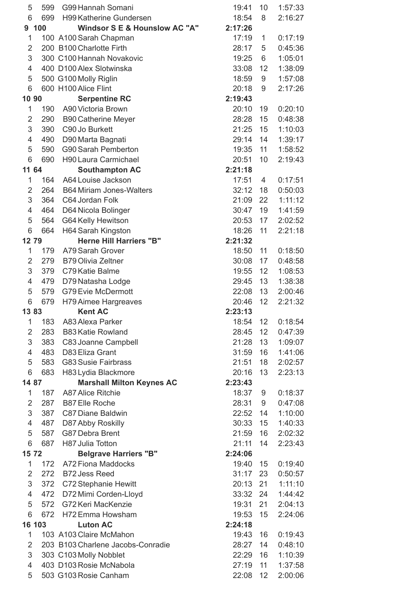| 5                         | 599    | G99 Hannah Somani                        | 19:41   | 10 | 1:57:33 |
|---------------------------|--------|------------------------------------------|---------|----|---------|
| 6                         | 699    | H99 Katherine Gundersen                  | 18:54   | 8  | 2:16:27 |
|                           | 9 100  | <b>Windsor S E &amp; Hounslow AC "A"</b> | 2:17:26 |    |         |
| $\mathbf 1$               |        | 100 A100 Sarah Chapman                   | 17:19   | 1  | 0:17:19 |
| $\overline{2}$            |        | 200 B100 Charlotte Firth                 | 28:17   | 5  | 0:45:36 |
| 3                         |        | 300 C100 Hannah Novakovic                | 19:25   | 6  | 1:05:01 |
| $\overline{4}$            |        | 400 D100 Alex Slotwinska                 | 33:08   | 12 | 1:38:09 |
| 5                         |        | 500 G100 Molly Riglin                    | 18:59   | 9  | 1:57:08 |
| 6                         |        | 600 H100 Alice Flint                     | 20:18   | 9  | 2:17:26 |
| 10 90                     |        | <b>Serpentine RC</b>                     | 2:19:43 |    |         |
| 1                         | 190    | A90 Victoria Brown                       | 20:10   | 19 | 0:20:10 |
| $\overline{2}$            | 290    | <b>B90 Catherine Meyer</b>               | 28:28   | 15 | 0:48:38 |
| 3                         | 390    | C90 Jo Burkett                           | 21:25   | 15 | 1:10:03 |
| $\overline{4}$            | 490    | D90 Marta Bagnati                        | 29:14   | 14 | 1:39:17 |
| 5                         | 590    | <b>G90 Sarah Pemberton</b>               | 19:35   | 11 | 1:58:52 |
| 6                         | 690    | <b>H90 Laura Carmichael</b>              | 20:51   | 10 | 2:19:43 |
| 11 64                     |        | <b>Southampton AC</b>                    | 2:21:18 |    |         |
| 1                         | 164    | A64 Louise Jackson                       | 17:51   | 4  | 0:17:51 |
| $\overline{2}$            | 264    | <b>B64 Miriam Jones-Walters</b>          | 32:12   | 18 | 0:50:03 |
| 3                         | 364    | C64 Jordan Folk                          | 21:09   | 22 | 1:11:12 |
| $\overline{4}$            |        |                                          |         |    |         |
|                           | 464    | D64 Nicola Bolinger                      | 30:47   | 19 | 1:41:59 |
| 5                         | 564    | G64 Kelly Hewitson                       | 20:53   | 17 | 2:02:52 |
| 6                         | 664    | H64 Sarah Kingston                       | 18:26   | 11 | 2:21:18 |
| 1279                      |        | <b>Herne Hill Harriers "B"</b>           | 2:21:32 |    |         |
| 1                         | 179    | A79 Sarah Grover                         | 18:50   | 11 | 0:18:50 |
| 2                         | 279    | <b>B79 Olivia Zeltner</b>                | 30:08   | 17 | 0:48:58 |
| 3                         | 379    | C79 Katie Balme                          | 19:55   | 12 | 1:08:53 |
| $\overline{4}$            | 479    | D79 Natasha Lodge                        | 29:45   | 13 | 1:38:38 |
| 5                         | 579    | <b>G79 Evie McDermott</b>                | 22:08   | 13 | 2:00:46 |
| 6                         | 679    | H79 Aimee Hargreaves                     | 20:46   | 12 | 2:21:32 |
| 1383                      |        | <b>Kent AC</b>                           | 2:23:13 |    |         |
| 1                         | 183    | A83 Alexa Parker                         | 18:54   | 12 | 0:18:54 |
| $\overline{2}$            | 283    | <b>B83 Katie Rowland</b>                 | 28:45   | 12 | 0:47:39 |
| $\ensuremath{\mathsf{3}}$ | 383    | C83 Joanne Campbell                      | 21:28   | 13 | 1:09:07 |
| $\overline{4}$            | 483    | D83 Eliza Grant                          | 31:59   | 16 | 1:41:06 |
| 5                         | 583    | <b>G83 Susie Fairbrass</b>               | 21:51   | 18 | 2:02:57 |
| 6                         | 683    | H83 Lydia Blackmore                      | 20:16   | 13 | 2:23:13 |
| 14 87                     |        | <b>Marshall Milton Keynes AC</b>         | 2:23:43 |    |         |
| 1                         | 187    | <b>A87 Alice Ritchie</b>                 | 18:37   | 9  | 0:18:37 |
| $\overline{2}$            | 287    | <b>B87 Elle Roche</b>                    | 28:31   | 9  | 0:47:08 |
| 3                         | 387    | C87 Diane Baldwin                        | 22:52   | 14 | 1:10:00 |
| 4                         | 487    | D87 Abby Roskilly                        | 30:33   | 15 | 1:40:33 |
| 5                         | 587    | G87 Debra Brent                          | 21:59   | 16 | 2:02:32 |
| 6                         | 687    | H87 Julia Totton                         | 21:11   | 14 | 2:23:43 |
| 1572                      |        | <b>Belgrave Harriers "B"</b>             | 2:24:06 |    |         |
| 1                         | 172    | A72 Fiona Maddocks                       | 19:40   | 15 | 0:19:40 |
| $\overline{2}$            | 272    | <b>B72 Jess Reed</b>                     | 31:17   | 23 | 0:50:57 |
| $\ensuremath{\mathsf{3}}$ | 372    | C72 Stephanie Hewitt                     | 20:13   | 21 | 1:11:10 |
| 4                         | 472    | D72 Mimi Corden-Lloyd                    | 33:32   | 24 | 1:44:42 |
| 5                         | 572    | G72 Keri MacKenzie                       | 19:31   | 21 | 2:04:13 |
| 6                         | 672    | H72 Emma Howsham                         | 19:53   | 15 | 2:24:06 |
|                           | 16 103 | <b>Luton AC</b>                          | 2:24:18 |    |         |
| 1                         |        | 103 A103 Claire McMahon                  | 19:43   | 16 | 0:19:43 |
| $\overline{2}$            |        | 203 B103 Charlene Jacobs-Conradie        | 28:27   | 14 | 0:48:10 |
| 3                         |        | 303 C103 Molly Nobblet                   | 22:29   | 16 | 1:10:39 |
| 4                         |        | 403 D103 Rosie McNabola                  | 27:19   | 11 | 1:37:58 |
| 5                         |        | 503 G103 Rosie Canham                    | 22:08   | 12 | 2:00:06 |
|                           |        |                                          |         |    |         |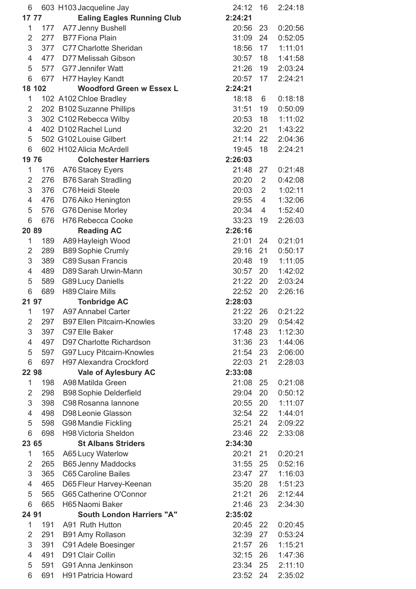| 6              |        | 603 H103 Jacqueline Jay           | 24:12   | 16 | 2:24:18 |
|----------------|--------|-----------------------------------|---------|----|---------|
| 17 77          |        | <b>Ealing Eagles Running Club</b> | 2:24:21 |    |         |
| 1              | 177    | A77 Jenny Bushell                 | 20:56   | 23 | 0:20:56 |
| $\overline{2}$ | 277    | <b>B77 Fiona Plain</b>            | 31:09   | 24 | 0:52:05 |
| 3              | 377    | C77 Charlotte Sheridan            | 18:56   | 17 | 1:11:01 |
| $\overline{4}$ | 477    | D77 Melissah Gibson               | 30:57   | 18 | 1:41:58 |
| 5              | 577    | <b>G77 Jennifer Watt</b>          | 21:26   | 19 | 2:03:24 |
| 6              | 677    | H77 Hayley Kandt                  | 20:57   | 17 | 2:24:21 |
|                | 18 102 | <b>Woodford Green w Essex L</b>   | 2:24:21 |    |         |
| 1              |        | 102 A102 Chloe Bradley            | 18:18   | 6  | 0:18:18 |
| $\overline{2}$ |        | 202 B102 Suzanne Phillips         | 31:51   | 19 | 0:50:09 |
| 3              |        | 302 C102 Rebecca Wilby            | 20:53   | 18 | 1:11:02 |
| $\overline{4}$ |        | 402 D102 Rachel Lund              | 32:20   | 21 | 1:43:22 |
| 5              |        | 502 G102 Louise Gilbert           | 21:14   | 22 | 2:04:36 |
| 6              |        | 602 H102 Alicia McArdell          | 19:45   | 18 | 2:24:21 |
| 1976           |        | <b>Colchester Harriers</b>        | 2:26:03 |    |         |
| 1              |        |                                   | 21:48   | 27 |         |
|                | 176    | A76 Stacey Eyers                  |         |    | 0:21:48 |
| $\overline{2}$ | 276    | <b>B76 Sarah Stradling</b>        | 20:20   | 2  | 0:42:08 |
| 3              | 376    | C76 Heidi Steele                  | 20:03   | 2  | 1:02:11 |
| 4              | 476    | D76 Aiko Henington                | 29:55   | 4  | 1:32:06 |
| 5              | 576    | G76 Denise Morley                 | 20:34   | 4  | 1:52:40 |
| 6              | 676    | H76 Rebecca Cooke                 | 33:23   | 19 | 2:26:03 |
| 2089           |        | <b>Reading AC</b>                 | 2:26:16 |    |         |
| 1              | 189    | A89 Hayleigh Wood                 | 21:01   | 24 | 0:21:01 |
| $\overline{2}$ | 289    | <b>B89 Sophie Crumly</b>          | 29:16   | 21 | 0:50:17 |
| 3              | 389    | <b>C89 Susan Francis</b>          | 20:48   | 19 | 1:11:05 |
| $\overline{4}$ | 489    | D89 Sarah Urwin-Mann              | 30:57   | 20 | 1:42:02 |
| 5              | 589    | <b>G89 Lucy Daniells</b>          | 21:22   | 20 | 2:03:24 |
| 6              | 689    | <b>H89 Claire Mills</b>           | 22:52   | 20 | 2:26:16 |
| 21 97          |        | <b>Tonbridge AC</b>               | 2:28:03 |    |         |
| 1              | 197    | <b>A97 Annabel Carter</b>         | 21:22   | 26 | 0:21:22 |
| $\overline{2}$ | 297    | <b>B97 Ellen Pitcairn-Knowles</b> | 33:20   | 29 | 0:54:42 |
| 3              | 397    | C97 Elle Baker                    | 17:48   | 23 | 1:12:30 |
| 4              | 497    | D97 Charlotte Richardson          | 31:36   | 23 | 1:44:06 |
| 5              | 597    | <b>G97 Lucy Pitcairn-Knowles</b>  | 21:54   | 23 | 2:06:00 |
| 6              | 697    | <b>H97 Alexandra Crockford</b>    | 22:03   | 21 | 2:28:03 |
| 22 98          |        | <b>Vale of Aylesbury AC</b>       | 2:33:08 |    |         |
| 1              | 198    | A98 Matilda Green                 | 21:08   | 25 | 0:21:08 |
| $\overline{2}$ | 298    | <b>B98 Sophie Delderfield</b>     | 29:04   | 20 | 0:50:12 |
| 3              | 398    | C98 Rosanna Iannone               | 20:55   | 20 | 1:11:07 |
| 4              | 498    | D98 Leonie Glasson                | 32:54   | 22 | 1:44:01 |
| 5              | 598    | <b>G98 Mandie Fickling</b>        | 25:21   | 24 | 2:09:22 |
| 6              | 698    | H98 Victoria Sheldon              | 23:46   | 22 | 2:33:08 |
| 23 65          |        | <b>St Albans Striders</b>         | 2:34:30 |    |         |
| 1              | 165    | A65 Lucy Waterlow                 | 20:21   | 21 | 0:20:21 |
| $\overline{2}$ | 265    | <b>B65 Jenny Maddocks</b>         | 31:55   | 25 | 0:52:16 |
| 3              | 365    | <b>C65 Caroline Bailes</b>        | 23:47   | 27 | 1:16:03 |
| 4              | 465    | D65 Fleur Harvey-Keenan           | 35:20   | 28 | 1:51:23 |
| 5              | 565    | G65 Catherine O'Connor            | 21:21   | 26 | 2:12:44 |
| 6              | 665    | H65 Naomi Baker                   | 21:46   | 23 | 2:34:30 |
| 24 91          |        | <b>South London Harriers "A"</b>  | 2:35:02 |    |         |
|                |        |                                   |         |    |         |
| 1              | 191    | A91 Ruth Hutton                   | 20:45   | 22 | 0:20:45 |
| 2              | 291    | B91 Amy Rollason                  | 32:39   | 27 | 0:53:24 |
| 3              | 391    | C91 Adele Boesinger               | 21:57   | 26 | 1:15:21 |
| 4              | 491    | D91 Clair Collin                  | 32:15   | 26 | 1:47:36 |
| 5              | 591    | G91 Anna Jenkinson                | 23:34   | 25 | 2:11:10 |
| 6              | 691    | H91 Patricia Howard               | 23:52   | 24 | 2:35:02 |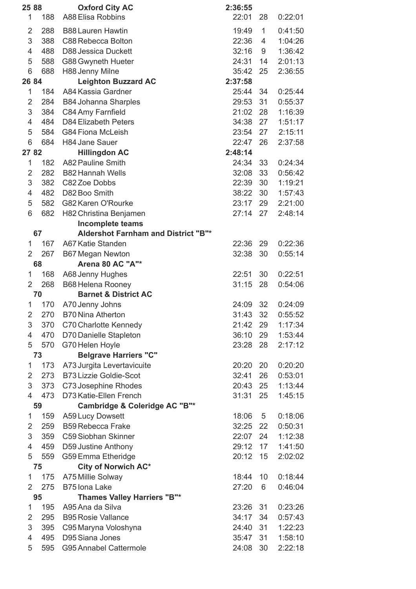| 25 88                 | <b>Oxford City AC</b>                      | 2:36:55 |                |         |
|-----------------------|--------------------------------------------|---------|----------------|---------|
| 1<br>188              | A88 Elisa Robbins                          | 22:01   | 28             | 0:22:01 |
| 2<br>288              | <b>B88 Lauren Hawtin</b>                   | 19:49   | $\mathbf{1}$   | 0:41:50 |
|                       |                                            |         |                |         |
| 3<br>388              | C88 Rebecca Bolton                         | 22:36   | $\overline{4}$ | 1:04:26 |
| 4<br>488              | <b>D88 Jessica Duckett</b>                 | 32:16   | 9              | 1:36:42 |
| 5<br>588              | G88 Gwyneth Hueter                         | 24:31   | 14             | 2:01:13 |
| 6<br>688              | H88 Jenny Milne                            | 35:42   | 25             | 2:36:55 |
| 26 84                 | <b>Leighton Buzzard AC</b>                 | 2:37:58 |                |         |
| $\mathbf{1}$<br>184   | A84 Kassia Gardner                         | 25:44   | 34             | 0:25:44 |
| 2<br>284              | <b>B84 Johanna Sharples</b>                | 29:53   | 31             | 0:55:37 |
| 3<br>384              | C84 Amy Farnfield                          | 21:02   | 28             | 1:16:39 |
| 484<br>4              | <b>D84 Elizabeth Peters</b>                | 34:38   | 27             | 1:51:17 |
| 5<br>584              | <b>G84 Fiona McLeish</b>                   | 23:54   | 27             | 2:15:11 |
| 6<br>684              | <b>H84 Jane Sauer</b>                      | 22:47   | 26             | 2:37:58 |
| 27 82                 | <b>Hillingdon AC</b>                       | 2:48:14 |                |         |
| $\mathbf{1}$<br>182   | A82 Pauline Smith                          | 24:34   | 33             | 0:24:34 |
| $\overline{2}$<br>282 | <b>B82 Hannah Wells</b>                    | 32:08   | 33             | 0:56:42 |
| 3<br>382              | C82 Zoe Dobbs                              | 22:39   | 30             | 1:19:21 |
| 482<br>4              | D82 Boo Smith                              | 38:22   | 30             | 1:57:43 |
| 5<br>582              | G82 Karen O'Rourke                         | 23:17   | 29             | 2:21:00 |
| 6<br>682              | H82 Christina Benjamen                     | 27:14   | 27             | 2:48:14 |
|                       | <b>Incomplete teams</b>                    |         |                |         |
| 67                    | <b>Aldershot Farnham and District "B"*</b> |         |                |         |
| 167<br>$\mathbf 1$    | A67 Katie Standen                          | 22:36   | 29             | 0:22:36 |
| $\overline{2}$<br>267 | <b>B67 Megan Newton</b>                    | 32:38   | 30             | 0:55:14 |
| 68                    | Arena 80 AC "A"*                           |         |                |         |
| 1<br>168              | A68 Jenny Hughes                           | 22:51   | 30             | 0:22:51 |
| $\overline{2}$<br>268 | <b>B68 Helena Rooney</b>                   | 31:15   | 28             | 0:54:06 |
| 70                    | <b>Barnet &amp; District AC</b>            |         |                |         |
| 170                   |                                            |         | 32             |         |
| 1                     | A70 Jenny Johns                            | 24:09   |                | 0:24:09 |
| $\overline{2}$<br>270 | <b>B70 Nina Atherton</b>                   | 31:43   | 32             | 0:55:52 |
| 3<br>370              | C70 Charlotte Kennedy                      | 21:42   | 29             | 1:17:34 |
| 4<br>470              | D70 Danielle Stapleton                     | 36:10   | 29             | 1:53:44 |
| 5<br>570              | G70 Helen Hoyle                            | 23:28   | 28             | 2:17:12 |
| 73                    | <b>Belgrave Harriers "C"</b>               |         |                |         |
| $\mathbf{1}$<br>173   | A73 Jurgita Levertavicuite                 | 20:20   | 20             | 0:20:20 |
| $\overline{2}$<br>273 | <b>B73 Lizzie Goldie-Scot</b>              | 32:41   | 26             | 0:53:01 |
| 3<br>373              | C73 Josephine Rhodes                       | 20:43   | 25             | 1:13:44 |
| 473<br>4              | D73 Katie-Ellen French                     | 31:31   | 25             | 1:45:15 |
| 59                    | Cambridge & Coleridge AC "B"*              |         |                |         |
| $\mathbf{1}$<br>159   | <b>A59 Lucy Dowsett</b>                    | 18:06   | 5              | 0:18:06 |
| 2<br>259              | <b>B59 Rebecca Frake</b>                   | 32:25   | 22             | 0:50:31 |
| 3<br>359              | C59 Siobhan Skinner                        | 22:07   | 24             | 1:12:38 |
| 4<br>459              | D59 Justine Anthony                        | 29:12   | 17             | 1:41:50 |
| 5<br>559              | G59 Emma Etheridge                         | 20:12   | 15             | 2:02:02 |
| 75                    | City of Norwich AC*                        |         |                |         |
| $\mathbf 1$<br>175    | A75 Millie Solway                          | 18:44   | 10             | 0:18:44 |
| 2<br>275              | B75 Iona Lake                              | 27:20   | 6              | 0:46:04 |
| 95                    | <b>Thames Valley Harriers "B"*</b>         |         |                |         |
| $\mathbf{1}$<br>195   | A95 Ana da Silva                           | 23:26   | 31             | 0:23:26 |
| 2<br>295              | <b>B95 Rosie Vallance</b>                  | 34:17   | 34             | 0:57:43 |
| 3<br>395              | C95 Maryna Voloshyna                       | 24:40   | 31             | 1:22:23 |
| 4<br>495              | D95 Siana Jones                            | 35:47   | 31             | 1:58:10 |
| 5<br>595              | <b>G95 Annabel Cattermole</b>              | 24:08   | 30             | 2:22:18 |
|                       |                                            |         |                |         |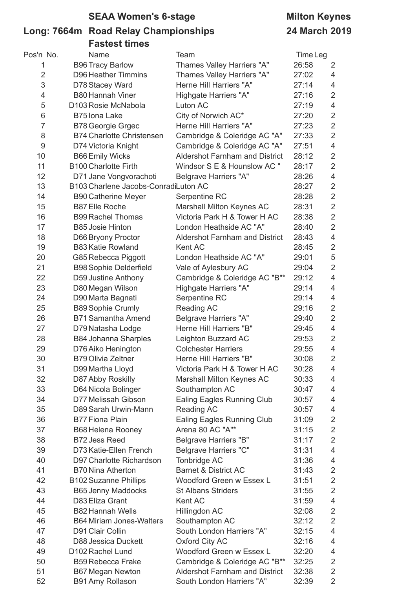# **SEAA Women's 6-stage Milton Keynes**

### **Long: 7664m Road Relay Championships 24 March 2019 Fastest times**

| Pos'n No.      | Name                                 | Team                                  | Time Leg |                         |
|----------------|--------------------------------------|---------------------------------------|----------|-------------------------|
| 1              | <b>B96 Tracy Barlow</b>              | Thames Valley Harriers "A"            | 26:58    | 2                       |
| $\overline{2}$ | <b>D96 Heather Timmins</b>           | Thames Valley Harriers "A"            | 27:02    | $\overline{4}$          |
| 3              | D78 Stacey Ward                      | Herne Hill Harriers "A"               | 27:14    | $\overline{4}$          |
| 4              | <b>B80 Hannah Viner</b>              | Highgate Harriers "A"                 | 27:16    | $\overline{2}$          |
| 5              | D103 Rosie McNabola                  | Luton AC                              | 27:19    | $\overline{\mathbf{4}}$ |
| 6              | <b>B75 lona Lake</b>                 | City of Norwich AC*                   | 27:20    | $\overline{2}$          |
| $\overline{7}$ | <b>B78 Georgie Grgec</b>             | Herne Hill Harriers "A"               | 27:23    | $\overline{2}$          |
| 8              | <b>B74 Charlotte Christensen</b>     | Cambridge & Coleridge AC "A"          | 27:33    | $\overline{2}$          |
| 9              | D74 Victoria Knight                  | Cambridge & Coleridge AC "A"          | 27:51    | $\overline{4}$          |
| 10             | <b>B66 Emily Wicks</b>               | <b>Aldershot Farnham and District</b> | 28:12    | $\overline{2}$          |
| 11             | <b>B100 Charlotte Firth</b>          | Windsor S E & Hounslow AC "           | 28:17    | $\overline{2}$          |
| 12             | D71 Jane Vongvorachoti               | <b>Belgrave Harriers "A"</b>          | 28:26    | $\overline{4}$          |
| 13             | B103 Charlene Jacobs-ConradiLuton AC |                                       | 28:27    | $\sqrt{2}$              |
| 14             | <b>B90 Catherine Meyer</b>           | Serpentine RC                         | 28:28    | $\overline{2}$          |
| 15             | <b>B87 Elle Roche</b>                | Marshall Milton Keynes AC             | 28:31    | $\overline{2}$          |
| 16             | <b>B99 Rachel Thomas</b>             | Victoria Park H & Tower H AC          | 28:38    | $\overline{2}$          |
| 17             | <b>B85 Josie Hinton</b>              | London Heathside AC "A"               | 28:40    | $\overline{2}$          |
| 18             | D66 Bryony Proctor                   | <b>Aldershot Farnham and District</b> | 28:43    | $\overline{4}$          |
| 19             | <b>B83 Katie Rowland</b>             | Kent AC                               | 28:45    | $\sqrt{2}$              |
| 20             | G85 Rebecca Piggott                  | London Heathside AC "A"               | 29:01    | 5                       |
| 21             | <b>B98 Sophie Delderfield</b>        | Vale of Aylesbury AC                  | 29:04    | $\overline{2}$          |
| 22             | D59 Justine Anthony                  | Cambridge & Coleridge AC "B"*         | 29:12    | $\overline{4}$          |
| 23             | D80 Megan Wilson                     | Highgate Harriers "A"                 | 29:14    | $\overline{4}$          |
| 24             | D90 Marta Bagnati                    | Serpentine RC                         | 29:14    | $\overline{4}$          |
| 25             | <b>B89 Sophie Crumly</b>             | Reading AC                            | 29:16    | $\sqrt{2}$              |
| 26             | <b>B71 Samantha Amend</b>            | <b>Belgrave Harriers "A"</b>          | 29:40    | $\overline{2}$          |
| 27             | D79 Natasha Lodge                    | Herne Hill Harriers "B"               | 29:45    | $\overline{4}$          |
| 28             | <b>B84 Johanna Sharples</b>          | Leighton Buzzard AC                   | 29:53    | $\overline{2}$          |
| 29             | D76 Aiko Henington                   | <b>Colchester Harriers</b>            | 29:55    | $\overline{4}$          |
| 30             | <b>B79 Olivia Zeltner</b>            | Herne Hill Harriers "B"               | 30:08    | $\overline{2}$          |
| 31             | D99 Martha Lloyd                     | Victoria Park H & Tower H AC          | 30:28    | 4                       |
| 32             | D87 Abby Roskilly                    | Marshall Milton Keynes AC             | 30:33    | 4                       |
| 33             | D64 Nicola Bolinger                  | Southampton AC                        | 30:47    | 4                       |
| 34             | D77 Melissah Gibson                  | Ealing Eagles Running Club            | 30:57    | 4                       |
| 35             | D89 Sarah Urwin-Mann                 | Reading AC                            | 30:57    | 4                       |
| 36             | <b>B77 Fiona Plain</b>               | <b>Ealing Eagles Running Club</b>     | 31:09    | $\overline{\mathbf{c}}$ |
| 37             | <b>B68 Helena Rooney</b>             | Arena 80 AC "A"*                      | 31:15    | $\overline{2}$          |
| 38             | <b>B72 Jess Reed</b>                 | <b>Belgrave Harriers "B"</b>          | 31:17    | $\overline{2}$          |
| 39             | D73 Katie-Ellen French               | Belgrave Harriers "C"                 | 31:31    | $\overline{4}$          |
| 40             | D97 Charlotte Richardson             | Tonbridge AC                          | 31:36    | 4                       |
| 41             | <b>B70 Nina Atherton</b>             | <b>Barnet &amp; District AC</b>       | 31:43    | $\overline{2}$          |
| 42             | <b>B102 Suzanne Phillips</b>         | Woodford Green w Essex L              | 31:51    | $\overline{2}$          |
| 43             | <b>B65 Jenny Maddocks</b>            | <b>St Albans Striders</b>             | 31:55    | $\sqrt{2}$              |
| 44             | D83 Eliza Grant                      | Kent AC                               | 31:59    | $\overline{4}$          |
| 45             | <b>B82 Hannah Wells</b>              | Hillingdon AC                         | 32:08    | $\overline{2}$          |
| 46             | <b>B64 Miriam Jones-Walters</b>      | Southampton AC                        | 32:12    | $\overline{2}$          |
| 47             | D91 Clair Collin                     | South London Harriers "A"             | 32:15    | $\overline{4}$          |
| 48             | D88 Jessica Duckett                  | Oxford City AC                        | 32:16    | $\overline{4}$          |
| 49             | D102 Rachel Lund                     | Woodford Green w Essex L              | 32:20    | $\overline{4}$          |
| 50             | <b>B59 Rebecca Frake</b>             | Cambridge & Coleridge AC "B"*         | 32:25    | $\overline{c}$          |
| 51             | <b>B67 Megan Newton</b>              | <b>Aldershot Farnham and District</b> | 32:38    | $\sqrt{2}$              |
| 52             | <b>B91 Amy Rollason</b>              | South London Harriers "A"             | 32:39    | $\overline{2}$          |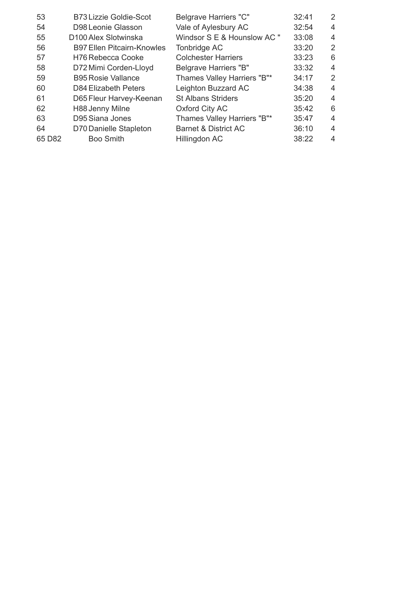| 53     | <b>B73 Lizzie Goldie-Scot</b>     | <b>Belgrave Harriers "C"</b>    | 32:41 | $\overline{2}$ |
|--------|-----------------------------------|---------------------------------|-------|----------------|
| 54     | D98 Leonie Glasson                | Vale of Aylesbury AC            | 32:54 | $\overline{4}$ |
| 55     | D100 Alex Slotwinska              | Windsor S E & Hounslow AC "     | 33:08 | 4              |
| 56     | <b>B97 Ellen Pitcairn-Knowles</b> | Tonbridge AC                    | 33:20 | $\overline{2}$ |
| 57     | H76 Rebecca Cooke                 | <b>Colchester Harriers</b>      | 33:23 | 6              |
| 58     | D72 Mimi Corden-Lloyd             | Belgrave Harriers "B"           | 33:32 | 4              |
| 59     | <b>B95 Rosie Vallance</b>         | Thames Valley Harriers "B"*     | 34:17 | 2              |
| 60     | D84 Elizabeth Peters              | Leighton Buzzard AC             | 34:38 | 4              |
| 61     | D65 Fleur Harvey-Keenan           | <b>St Albans Striders</b>       | 35:20 | $\overline{4}$ |
| 62     | H88 Jenny Milne                   | Oxford City AC                  | 35:42 | 6              |
| 63     | D95 Siana Jones                   | Thames Valley Harriers "B"*     | 35:47 | 4              |
| 64     | D70 Danielle Stapleton            | <b>Barnet &amp; District AC</b> | 36:10 | $\overline{4}$ |
| 65 D82 | <b>Boo Smith</b>                  | Hillingdon AC                   | 38:22 | 4              |
|        |                                   |                                 |       |                |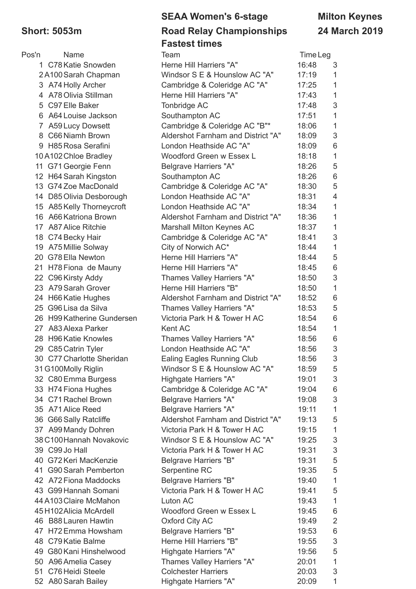### **SEAA Women's 6-stage Milton Keynes Short: 5053m Road Relay Championships 24 March 2019 Fastest times**

| Pos'n | <b>Name</b>                | Team                               | Time Leg |                           |
|-------|----------------------------|------------------------------------|----------|---------------------------|
|       | 1 C78 Katie Snowden        | Herne Hill Harriers "A"            | 16:48    | 3                         |
|       | 2A100 Sarah Chapman        | Windsor S E & Hounslow AC "A"      | 17:19    | 1                         |
|       | 3 A74 Holly Archer         | Cambridge & Coleridge AC "A"       | 17:25    | 1                         |
|       | 4 A78 Olivia Stillman      | Herne Hill Harriers "A"            | 17:43    | $\mathbf 1$               |
|       | 5 C97 Elle Baker           | Tonbridge AC                       | 17:48    | 3                         |
| 6     | A64 Louise Jackson         | Southampton AC                     | 17:51    | $\mathbf{1}$              |
|       | 7 A59 Lucy Dowsett         | Cambridge & Coleridge AC "B"*      | 18:06    | $\mathbf 1$               |
|       | 8 C66 Niamh Brown          | Aldershot Farnham and District "A" | 18:09    | $\sqrt{3}$                |
|       | 9 H85 Rosa Serafini        | London Heathside AC "A"            | 18:09    | $\,6$                     |
|       | 10A102 Chloe Bradley       | Woodford Green w Essex L           | 18:18    | 1                         |
|       | 11 G71 Georgie Fenn        | <b>Belgrave Harriers "A"</b>       | 18:26    | 5                         |
|       | 12 H64 Sarah Kingston      | Southampton AC                     | 18:26    | 6                         |
|       | 13 G74 Zoe MacDonald       | Cambridge & Coleridge AC "A"       | 18:30    | 5                         |
|       | 14 D85 Olivia Desborough   | London Heathside AC "A"            | 18:31    | $\overline{4}$            |
|       | 15 A85 Kelly Thorneycroft  | London Heathside AC "A"            | 18:34    | $\mathbf{1}$              |
|       | 16 A66 Katriona Brown      | Aldershot Farnham and District "A" | 18:36    | $\mathbf 1$               |
|       | 17 A87 Alice Ritchie       | Marshall Milton Keynes AC          | 18:37    | $\mathbf{1}$              |
|       | 18 C74 Becky Hair          | Cambridge & Coleridge AC "A"       | 18:41    | $\ensuremath{\mathsf{3}}$ |
|       | 19 A75 Millie Solway       | City of Norwich AC*                | 18:44    | $\mathbf{1}$              |
|       | 20 G78 Ella Newton         | Herne Hill Harriers "A"            | 18:44    | 5                         |
|       | 21 H78 Fiona de Mauny      | Herne Hill Harriers "A"            | 18:45    | 6                         |
|       | 22 C96 Kirsty Addy         | Thames Valley Harriers "A"         | 18:50    | $\mathsf 3$               |
|       | 23 A79 Sarah Grover        | Herne Hill Harriers "B"            | 18:50    | 1                         |
|       | 24 H66 Katie Hughes        | Aldershot Farnham and District "A" | 18:52    | 6                         |
|       | 25 G96 Lisa da Silva       | Thames Valley Harriers "A"         | 18:53    | 5                         |
|       | 26 H99 Katherine Gundersen | Victoria Park H & Tower H AC       | 18:54    | 6                         |
|       | 27 A83 Alexa Parker        | Kent AC                            | 18:54    | 1                         |
|       | 28 H96 Katie Knowles       | <b>Thames Valley Harriers "A"</b>  | 18:56    | 6                         |
|       | 29 C85 Catrin Tyler        | London Heathside AC "A"            | 18:56    | 3                         |
|       | 30 C77 Charlotte Sheridan  | <b>Ealing Eagles Running Club</b>  | 18:56    | 3                         |
|       | 31 G100Molly Riglin        | Windsor S E & Hounslow AC "A"      | 18:59    | 5                         |
|       | 32 C80 Emma Burgess        | Highgate Harriers "A"              | 19:01    | 3                         |
|       | 33 H74 Fiona Hughes        | Cambridge & Coleridge AC "A"       | 19:04    | 6                         |
|       | 34 C71 Rachel Brown        | <b>Belgrave Harriers "A"</b>       | 19:08    | $\sqrt{3}$                |
|       | 35 A71 Alice Reed          | <b>Belgrave Harriers "A"</b>       | 19:11    | $\mathbf{1}$              |
|       | 36 G66 Sally Ratcliffe     | Aldershot Farnham and District "A" | 19:13    | 5                         |
|       | 37 A99 Mandy Dohren        | Victoria Park H & Tower H AC       | 19:15    | $\mathbf{1}$              |
|       | 38 C100 Hannah Novakovic   | Windsor S E & Hounslow AC "A"      | 19:25    | 3                         |
|       | 39 C99 Jo Hall             | Victoria Park H & Tower H AC       | 19:31    | $\ensuremath{\mathsf{3}}$ |
|       | 40 G72 Keri MacKenzie      | <b>Belgrave Harriers "B"</b>       | 19:31    | $\sqrt{5}$                |
|       | 41 G90 Sarah Pemberton     | Serpentine RC                      | 19:35    | 5                         |
|       | 42 A72 Fiona Maddocks      | <b>Belgrave Harriers "B"</b>       | 19:40    | $\mathbf{1}$              |
|       | 43 G99 Hannah Somani       | Victoria Park H & Tower H AC       | 19:41    | 5                         |
|       | 44 A103 Claire McMahon     | Luton AC                           | 19:43    | $\mathbf{1}$              |
|       | 45 H102 Alicia McArdell    | Woodford Green w Essex L           | 19:45    |                           |
|       | 46 B88 Lauren Hawtin       |                                    |          | 6                         |
|       |                            | <b>Oxford City AC</b>              | 19:49    | $\overline{2}$            |
|       | 47 H72 Emma Howsham        | <b>Belgrave Harriers "B"</b>       | 19:53    | 6                         |
|       | 48 C79 Katie Balme         | Herne Hill Harriers "B"            | 19:55    | $\ensuremath{\mathsf{3}}$ |
|       | 49 G80 Kani Hinshelwood    | Highgate Harriers "A"              | 19:56    | 5                         |
|       | 50 A96 Amelia Casey        | Thames Valley Harriers "A"         | 20:01    | $\mathbf{1}$              |
|       | 51 C76 Heidi Steele        | <b>Colchester Harriers</b>         | 20:03    | $\sqrt{3}$                |
|       | 52 A80 Sarah Bailey        | Highgate Harriers "A"              | 20:09    | 1                         |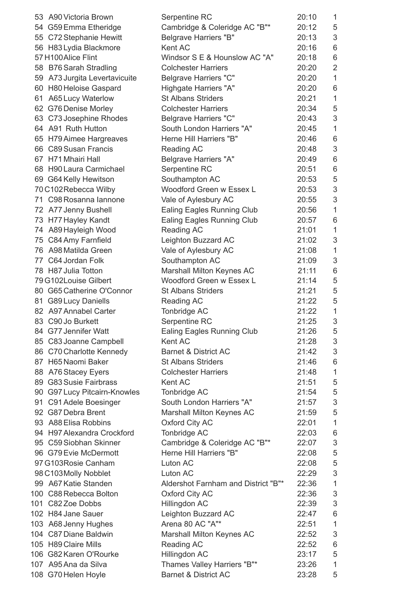|    | 53 A90 Victoria Brown                                  | Serpentine RC                                 | 20:10 | $\mathbf{1}$    |
|----|--------------------------------------------------------|-----------------------------------------------|-------|-----------------|
|    | 54 G59 Emma Etheridge                                  | Cambridge & Coleridge AC "B"*                 | 20:12 | 5               |
|    | 55 C72 Stephanie Hewitt                                | <b>Belgrave Harriers "B"</b>                  | 20:13 | 3               |
|    | 56 H83 Lydia Blackmore                                 | Kent AC                                       | 20:16 | 6               |
|    | 57 H100 Alice Flint                                    | Windsor S E & Hounslow AC "A"                 | 20:18 | 6               |
|    | 58 B76 Sarah Stradling                                 | <b>Colchester Harriers</b>                    | 20:20 | $\overline{2}$  |
|    | 59 A73 Jurgita Levertavicuite                          | <b>Belgrave Harriers "C"</b>                  | 20:20 | $\mathbf{1}$    |
| 60 | <b>H80 Heloise Gaspard</b>                             | Highgate Harriers "A"                         | 20:20 | 6               |
| 61 | <b>A65 Lucy Waterlow</b>                               | <b>St Albans Striders</b>                     | 20:21 | $\mathbf{1}$    |
|    | 62 G76 Denise Morley                                   | <b>Colchester Harriers</b>                    | 20:34 | 5               |
|    | 63 C73 Josephine Rhodes                                | <b>Belgrave Harriers "C"</b>                  | 20:43 | 3               |
|    | 64 A91 Ruth Hutton                                     | South London Harriers "A"                     | 20:45 | $\mathbf{1}$    |
|    | 65 H79 Aimee Hargreaves                                | Herne Hill Harriers "B"                       | 20:46 | 6               |
|    | 66 C89 Susan Francis                                   | Reading AC                                    | 20:48 | 3               |
|    | 67 H71 Mhairi Hall                                     | <b>Belgrave Harriers "A"</b>                  | 20:49 | 6               |
|    | 68 H90 Laura Carmichael                                | Serpentine RC                                 | 20:51 | $6\phantom{1}6$ |
|    | 69 G64 Kelly Hewitson                                  | Southampton AC                                | 20:53 | 5               |
|    | 70 C102 Rebecca Wilby                                  | Woodford Green w Essex L                      | 20:53 | 3               |
|    | 71 C98 Rosanna lannone                                 | Vale of Aylesbury AC                          | 20:55 | 3               |
|    | 72 A77 Jenny Bushell                                   | <b>Ealing Eagles Running Club</b>             | 20:56 | $\mathbf{1}$    |
|    | 73 H77 Hayley Kandt                                    | <b>Ealing Eagles Running Club</b>             | 20:57 | 6               |
|    | 74 A89 Hayleigh Wood                                   | Reading AC                                    | 21:01 | $\mathbf{1}$    |
|    | 75 C84 Amy Farnfield                                   | Leighton Buzzard AC                           | 21:02 | 3               |
|    | 76 A98 Matilda Green                                   | Vale of Aylesbury AC                          | 21:08 | $\mathbf{1}$    |
|    | 77 C64 Jordan Folk                                     | Southampton AC                                | 21:09 | 3               |
|    | 78 H87 Julia Totton                                    | Marshall Milton Keynes AC                     | 21:11 | 6               |
|    | 79 G102Louise Gilbert                                  | Woodford Green w Essex L                      | 21:14 | 5               |
|    | 80 G65 Catherine O'Connor                              | <b>St Albans Striders</b>                     | 21:21 | 5               |
|    | 81 G89 Lucy Daniells                                   | <b>Reading AC</b>                             | 21:22 | 5               |
|    | 82 A97 Annabel Carter                                  | Tonbridge AC                                  | 21:22 | $\mathbf{1}$    |
|    | 83 C90 Jo Burkett                                      | Serpentine RC                                 | 21:25 | 3               |
|    | 84 G77 Jennifer Watt                                   | <b>Ealing Eagles Running Club</b>             | 21:26 | 5               |
|    | 85 C83 Joanne Campbell                                 | Kent AC                                       | 21:28 | 3               |
|    | 86 C70 Charlotte Kennedy                               | <b>Barnet &amp; District AC</b>               | 21:42 | 3               |
|    | 87 H65 Naomi Baker                                     | <b>St Albans Striders</b>                     | 21:46 | 6               |
|    | 88 A76 Stacey Eyers                                    | <b>Colchester Harriers</b>                    | 21:48 | $\mathbf 1$     |
|    | 89 G83 Susie Fairbrass                                 | Kent AC                                       | 21:51 | 5               |
|    |                                                        | Tonbridge AC                                  | 21:54 | 5               |
|    | 90 G97 Lucy Pitcairn-Knowles<br>91 C91 Adele Boesinger | South London Harriers "A"                     | 21:57 | 3               |
|    | 92 G87 Debra Brent                                     |                                               | 21:59 | 5               |
|    | 93 A88 Elisa Robbins                                   | Marshall Milton Keynes AC<br>Oxford City AC   | 22:01 | $\mathbf{1}$    |
|    | 94 H97 Alexandra Crockford                             |                                               | 22:03 |                 |
|    | 95 C59 Siobhan Skinner                                 | Tonbridge AC<br>Cambridge & Coleridge AC "B"* | 22:07 | 6<br>$\sqrt{3}$ |
|    |                                                        | Herne Hill Harriers "B"                       |       |                 |
|    | 96 G79 Evie McDermott                                  |                                               | 22:08 | 5               |
|    | 97 G103 Rosie Canham                                   | Luton AC                                      | 22:08 | 5               |
|    | 98 C103 Molly Nobblet                                  | Luton AC                                      | 22:29 | 3               |
|    | 99 A67 Katie Standen                                   | Aldershot Farnham and District "B"*           | 22:36 | $\mathbf{1}$    |
|    | 100 C88 Rebecca Bolton                                 | <b>Oxford City AC</b>                         | 22:36 | $\sqrt{3}$      |
|    | 101 C82 Zoe Dobbs                                      | Hillingdon AC                                 | 22:39 | $\mathfrak{S}$  |
|    | 102 H84 Jane Sauer                                     | Leighton Buzzard AC                           | 22:47 | 6               |
|    | 103 A68 Jenny Hughes                                   | Arena 80 AC "A"*                              | 22:51 | $\mathbf{1}$    |
|    | 104 C87 Diane Baldwin                                  | Marshall Milton Keynes AC                     | 22:52 | $\mathfrak{S}$  |
|    | 105 H89 Claire Mills                                   | Reading AC                                    | 22:52 | 6               |
|    | 106 G82 Karen O'Rourke                                 | Hillingdon AC                                 | 23:17 | 5               |
|    | 107 A95 Ana da Silva                                   | Thames Valley Harriers "B"*                   | 23:26 | $\mathbf 1$     |
|    | 108 G70 Helen Hoyle                                    | <b>Barnet &amp; District AC</b>               | 23:28 | 5               |